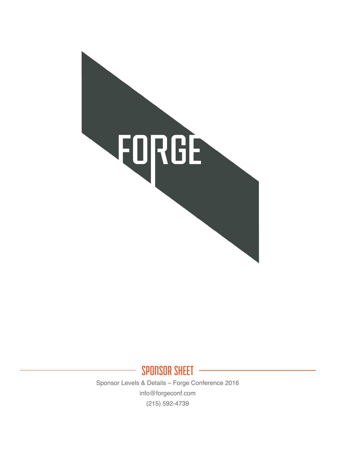

SPONSOR SHEET Sponsor Levels & Details – Forge Conference 2016 info@forgeconf.com (215) 592-4739